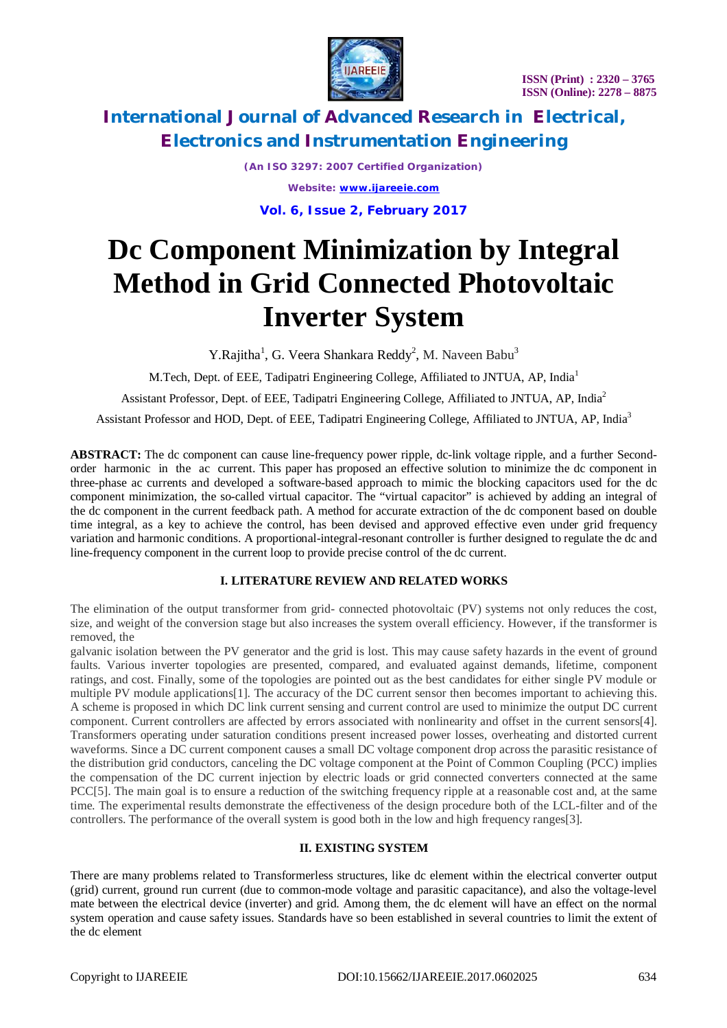

*(An ISO 3297: 2007 Certified Organization) Website: [www.ijareeie.com](http://www.ijareeie.com)*

# **Vol. 6, Issue 2, February 2017**

# **Dc Component Minimization by Integral Method in Grid Connected Photovoltaic Inverter System**

Y.Rajitha<sup>1</sup>, G. Veera Shankara Reddy<sup>2</sup>, M. Naveen Babu<sup>3</sup>

M.Tech, Dept. of EEE, Tadipatri Engineering College, Affiliated to JNTUA, AP, India<sup>1</sup>

Assistant Professor, Dept. of EEE, Tadipatri Engineering College, Affiliated to JNTUA, AP, India<sup>2</sup>

Assistant Professor and HOD, Dept. of EEE, Tadipatri Engineering College, Affiliated to JNTUA, AP, India<sup>3</sup>

**ABSTRACT:** The dc component can cause line-frequency power ripple, dc-link voltage ripple, and a further Secondorder harmonic in the ac current. This paper has proposed an effective solution to minimize the dc component in three-phase ac currents and developed a software-based approach to mimic the blocking capacitors used for the dc component minimization, the so-called virtual capacitor. The "virtual capacitor" is achieved by adding an integral of the dc component in the current feedback path. A method for accurate extraction of the dc component based on double time integral, as a key to achieve the control, has been devised and approved effective even under grid frequency variation and harmonic conditions. A proportional-integral-resonant controller is further designed to regulate the dc and line-frequency component in the current loop to provide precise control of the dc current.

### **I. LITERATURE REVIEW AND RELATED WORKS**

The elimination of the output transformer from grid- connected photovoltaic (PV) systems not only reduces the cost, size, and weight of the conversion stage but also increases the system overall efficiency. However, if the transformer is removed, the

galvanic isolation between the PV generator and the grid is lost. This may cause safety hazards in the event of ground faults. Various inverter topologies are presented, compared, and evaluated against demands, lifetime, component ratings, and cost. Finally, some of the topologies are pointed out as the best candidates for either single PV module or multiple PV module applications[1]. The accuracy of the DC current sensor then becomes important to achieving this. A scheme is proposed in which DC link current sensing and current control are used to minimize the output DC current component. Current controllers are affected by errors associated with nonlinearity and offset in the current sensors[4]. Transformers operating under saturation conditions present increased power losses, overheating and distorted current waveforms. Since a DC current component causes a small DC voltage component drop across the parasitic resistance of the distribution grid conductors, canceling the DC voltage component at the Point of Common Coupling (PCC) implies the compensation of the DC current injection by electric loads or grid connected converters connected at the same PCC[5]. The main goal is to ensure a reduction of the switching frequency ripple at a reasonable cost and, at the same time. The experimental results demonstrate the effectiveness of the design procedure both of the LCL-filter and of the controllers. The performance of the overall system is good both in the low and high frequency ranges[3].

### **II. EXISTING SYSTEM**

There are many problems related to Transformerless structures, like dc element within the electrical converter output (grid) current, ground run current (due to common-mode voltage and parasitic capacitance), and also the voltage-level mate between the electrical device (inverter) and grid. Among them, the dc element will have an effect on the normal system operation and cause safety issues. Standards have so been established in several countries to limit the extent of the dc element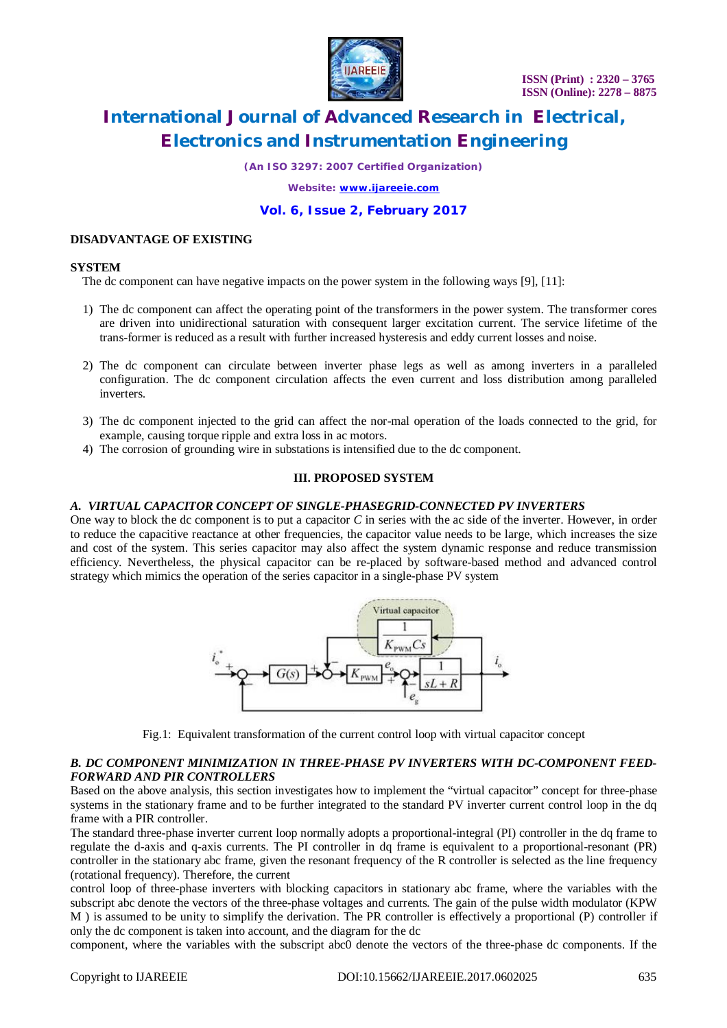

*(An ISO 3297: 2007 Certified Organization)*

*Website: [www.ijareeie.com](http://www.ijareeie.com)*

### **Vol. 6, Issue 2, February 2017**

#### **DISADVANTAGE OF EXISTING**

#### **SYSTEM**

The dc component can have negative impacts on the power system in the following ways [9], [11]:

- 1) The dc component can affect the operating point of the transformers in the power system. The transformer cores are driven into unidirectional saturation with consequent larger excitation current. The service lifetime of the trans-former is reduced as a result with further increased hysteresis and eddy current losses and noise.
- 2) The dc component can circulate between inverter phase legs as well as among inverters in a paralleled configuration. The dc component circulation affects the even current and loss distribution among paralleled inverters.
- 3) The dc component injected to the grid can affect the nor-mal operation of the loads connected to the grid, for example, causing torque ripple and extra loss in ac motors.
- 4) The corrosion of grounding wire in substations is intensified due to the dc component.

### **III. PROPOSED SYSTEM**

#### *A. VIRTUAL CAPACITOR CONCEPT OF SINGLE-PHASEGRID-CONNECTED PV INVERTERS*

One way to block the dc component is to put a capacitor *C* in series with the ac side of the inverter. However, in order to reduce the capacitive reactance at other frequencies, the capacitor value needs to be large, which increases the size and cost of the system. This series capacitor may also affect the system dynamic response and reduce transmission efficiency. Nevertheless, the physical capacitor can be re-placed by software-based method and advanced control strategy which mimics the operation of the series capacitor in a single-phase PV system



Fig.1: Equivalent transformation of the current control loop with virtual capacitor concept

#### *B. DC COMPONENT MINIMIZATION IN THREE-PHASE PV INVERTERS WITH DC-COMPONENT FEED-FORWARD AND PIR CONTROLLERS*

Based on the above analysis, this section investigates how to implement the "virtual capacitor" concept for three-phase systems in the stationary frame and to be further integrated to the standard PV inverter current control loop in the dq frame with a PIR controller.

The standard three-phase inverter current loop normally adopts a proportional-integral (PI) controller in the dq frame to regulate the d-axis and q-axis currents. The PI controller in dq frame is equivalent to a proportional-resonant (PR) controller in the stationary abc frame, given the resonant frequency of the R controller is selected as the line frequency (rotational frequency). Therefore, the current

control loop of three-phase inverters with blocking capacitors in stationary abc frame, where the variables with the subscript abc denote the vectors of the three-phase voltages and currents. The gain of the pulse width modulator (KPW M ) is assumed to be unity to simplify the derivation. The PR controller is effectively a proportional (P) controller if only the dc component is taken into account, and the diagram for the dc

component, where the variables with the subscript abc0 denote the vectors of the three-phase dc components. If the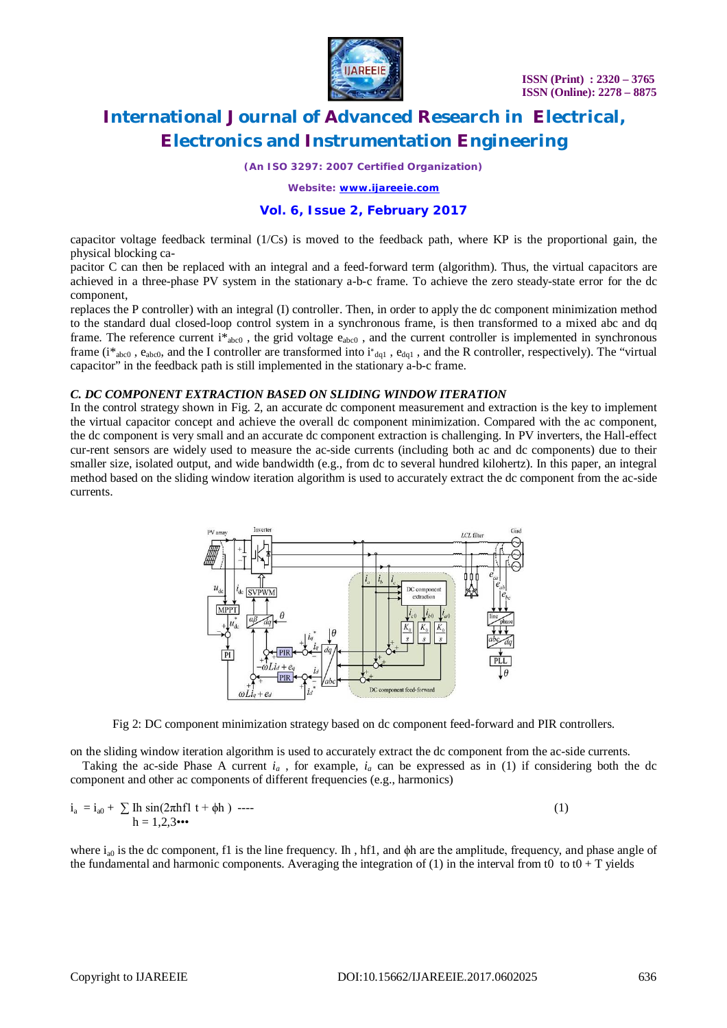

*(An ISO 3297: 2007 Certified Organization)*

*Website: [www.ijareeie.com](http://www.ijareeie.com)*

### **Vol. 6, Issue 2, February 2017**

capacitor voltage feedback terminal  $(1/Cs)$  is moved to the feedback path, where KP is the proportional gain, the physical blocking ca-

pacitor C can then be replaced with an integral and a feed-forward term (algorithm). Thus, the virtual capacitors are achieved in a three-phase PV system in the stationary a-b-c frame. To achieve the zero steady-state error for the dc component,

replaces the P controller) with an integral (I) controller. Then, in order to apply the dc component minimization method to the standard dual closed-loop control system in a synchronous frame, is then transformed to a mixed abc and dq frame. The reference current  $i^*_{abc0}$ , the grid voltage  $e_{abc0}$ , and the current controller is implemented in synchronous frame (i<sup>\*</sup><sub>abc0</sub>, e<sub>abc0</sub>, and the I controller are transformed into i<sup>\*</sup><sub>dq1</sub>, e<sub>dq1</sub>, and the R controller, respectively). The "virtual capacitor" in the feedback path is still implemented in the stationary a-b-c frame.

#### *C. DC COMPONENT EXTRACTION BASED ON SLIDING WINDOW ITERATION*

In the control strategy shown in Fig. 2, an accurate dc component measurement and extraction is the key to implement the virtual capacitor concept and achieve the overall dc component minimization. Compared with the ac component, the dc component is very small and an accurate dc component extraction is challenging. In PV inverters, the Hall-effect cur-rent sensors are widely used to measure the ac-side currents (including both ac and dc components) due to their smaller size, isolated output, and wide bandwidth (e.g., from dc to several hundred kilohertz). In this paper, an integral method based on the sliding window iteration algorithm is used to accurately extract the dc component from the ac-side currents.



Fig 2: DC component minimization strategy based on dc component feed-forward and PIR controllers.

on the sliding window iteration algorithm is used to accurately extract the dc component from the ac-side currents.

Taking the ac-side Phase A current  $i_a$ , for example,  $i_a$  can be expressed as in (1) if considering both the dc component and other ac components of different frequencies (e.g., harmonics)

$$
i_a = i_{a0} + \sum \ln \sin(2\pi h f l t + \phi h) \quad \text{---}
$$
  
 
$$
h = 1,2,3 \cdots
$$
 (1)

where  $i_{a0}$  is the dc component, f1 is the line frequency. Ih, hf1, and  $\phi$ h are the amplitude, frequency, and phase angle of the fundamental and harmonic components. Averaging the integration of (1) in the interval from t0 to t0 + T yields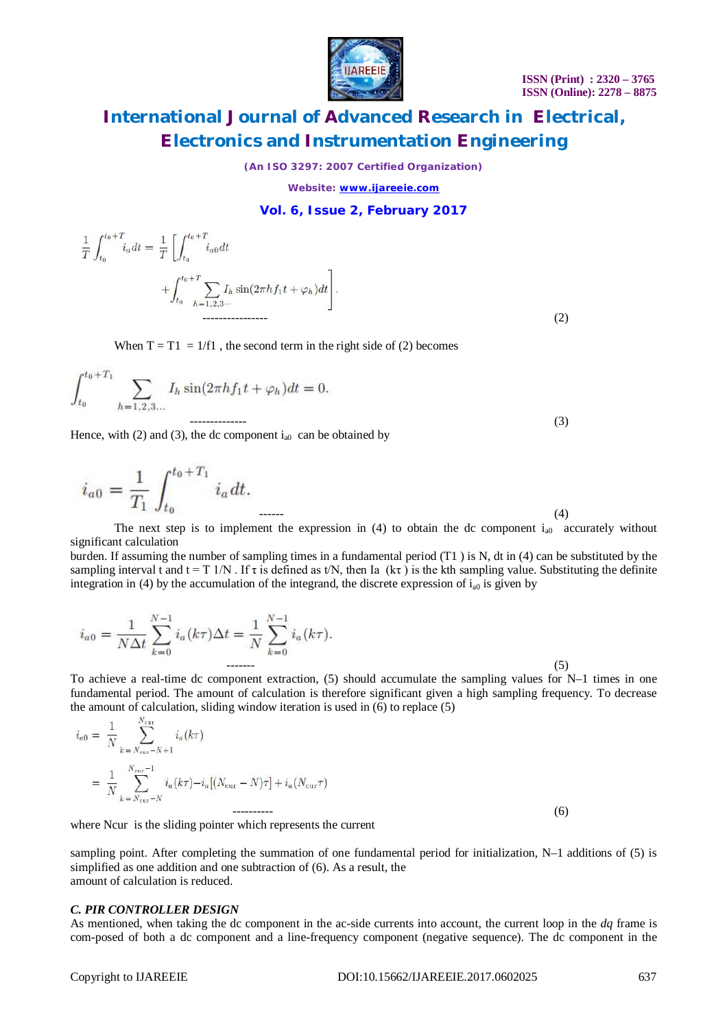

*(An ISO 3297: 2007 Certified Organization)*

*Website: [www.ijareeie.com](http://www.ijareeie.com)*

#### **Vol. 6, Issue 2, February 2017**

$$
\frac{1}{T} \int_{t_0}^{t_0+T} i_a dt = \frac{1}{T} \left[ \int_{t_0}^{t_0+T} i_{a0} dt + \int_{t_0}^{t_0+T} \sum_{h=1,2,3\cdots} I_h \sin(2\pi h f_1 t + \varphi_h) dt \right].
$$
\n(2)

When  $T = T1 = 1/f1$ , the second term in the right side of (2) becomes

$$
\int_{t_0}^{t_0+T_1} \sum_{h=1,2,3...} I_h \sin(2\pi h f_1 t + \varphi_h) dt = 0.
$$
\n<sup>(3)</sup>

Hence, with (2) and (3), the dc component  $i_{a0}$  can be obtained by

$$
i_{a0} = \frac{1}{T_1} \int_{t_0}^{t_0 + T_1} i_a dt.
$$

------ (4) The next step is to implement the expression in (4) to obtain the dc component  $i_{a0}$  accurately without significant calculation

burden. If assuming the number of sampling times in a fundamental period (T1 ) is N, dt in (4) can be substituted by the sampling interval t and  $t = T 1/N$ . If  $\tau$  is defined as t/N, then Ia (k $\tau$ ) is the kth sampling value. Substituting the definite integration in (4) by the accumulation of the integrand, the discrete expression of  $i_{a0}$  is given by

$$
i_{a0} = \frac{1}{N\Delta t} \sum_{k=0}^{N-1} i_a(k\tau)\Delta t = \frac{1}{N} \sum_{k=0}^{N-1} i_a(k\tau).
$$
\n(5)

To achieve a real-time dc component extraction, (5) should accumulate the sampling values for N–1 times in one fundamental period. The amount of calculation is therefore significant given a high sampling frequency. To decrease the amount of calculation, sliding window iteration is used in (6) to replace (5)

$$
i_{a0} = \frac{1}{N} \sum_{k=N_{\text{cur}}-N+1}^{N_{\text{cur}}} i_a(k\tau)
$$
  
= 
$$
\frac{1}{N} \sum_{k=N_{\text{cur}}-N}^{N_{\text{cur}}-1} i_a(k\tau) - i_a [(N_{\text{cur}}-N)\tau] + i_a (N_{\text{cur}}\tau)
$$
  
100

where Ncur is the sliding pointer which represents the current

sampling point. After completing the summation of one fundamental period for initialization, N–1 additions of (5) is simplified as one addition and one subtraction of (6). As a result, the amount of calculation is reduced.

#### *C. PIR CONTROLLER DESIGN*

As mentioned, when taking the dc component in the ac-side currents into account, the current loop in the *dq* frame is com-posed of both a dc component and a line-frequency component (negative sequence). The dc component in the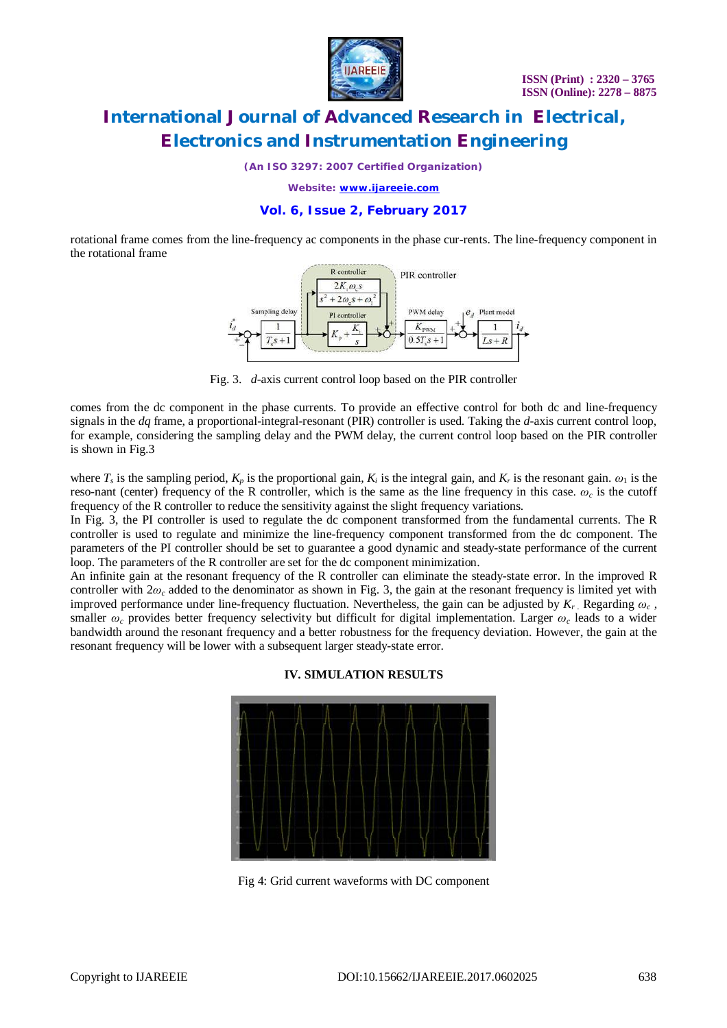

*(An ISO 3297: 2007 Certified Organization)*

*Website: [www.ijareeie.com](http://www.ijareeie.com)*

### **Vol. 6, Issue 2, February 2017**

rotational frame comes from the line-frequency ac components in the phase cur-rents. The line-frequency component in the rotational frame



Fig. 3. *d-*axis current control loop based on the PIR controller

comes from the dc component in the phase currents. To provide an effective control for both dc and line-frequency signals in the *dq* frame, a proportional-integral-resonant (PIR) controller is used. Taking the *d-*axis current control loop, for example, considering the sampling delay and the PWM delay, the current control loop based on the PIR controller is shown in Fig.3

where  $T_s$  is the sampling period,  $K_p$  is the proportional gain,  $K_i$  is the integral gain, and  $K_r$  is the resonant gain.  $\omega_1$  is the reso-nant (center) frequency of the R controller, which is the same as the line frequency in this case.  $\omega_c$  is the cutoff frequency of the R controller to reduce the sensitivity against the slight frequency variations.

In Fig. 3, the PI controller is used to regulate the dc component transformed from the fundamental currents. The R controller is used to regulate and minimize the line-frequency component transformed from the dc component. The parameters of the PI controller should be set to guarantee a good dynamic and steady-state performance of the current loop. The parameters of the R controller are set for the dc component minimization.

An infinite gain at the resonant frequency of the R controller can eliminate the steady-state error. In the improved R controller with  $2\omega_c$  added to the denominator as shown in Fig. 3, the gain at the resonant frequency is limited yet with improved performance under line-frequency fluctuation. Nevertheless, the gain can be adjusted by  $K_r$ . Regarding  $\omega_c$ , smaller *ω<sup>c</sup>* provides better frequency selectivity but difficult for digital implementation. Larger *ω<sup>c</sup>* leads to a wider bandwidth around the resonant frequency and a better robustness for the frequency deviation. However, the gain at the resonant frequency will be lower with a subsequent larger steady-state error.



#### **IV. SIMULATION RESULTS**

Fig 4: Grid current waveforms with DC component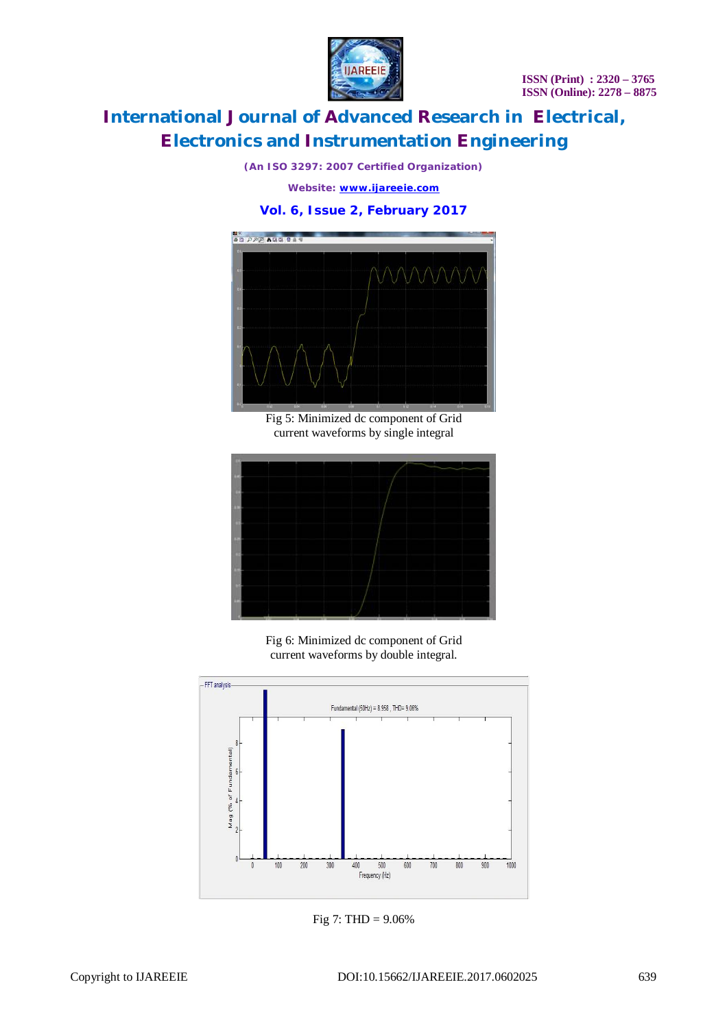

*(An ISO 3297: 2007 Certified Organization)*

*Website: [www.ijareeie.com](http://www.ijareeie.com)*

### **Vol. 6, Issue 2, February 2017**



Fig 5: Minimized dc component of Grid current waveforms by single integral



Fig 6: Minimized dc component of Grid current waveforms by double integral.



Fig 7: THD = 9.06%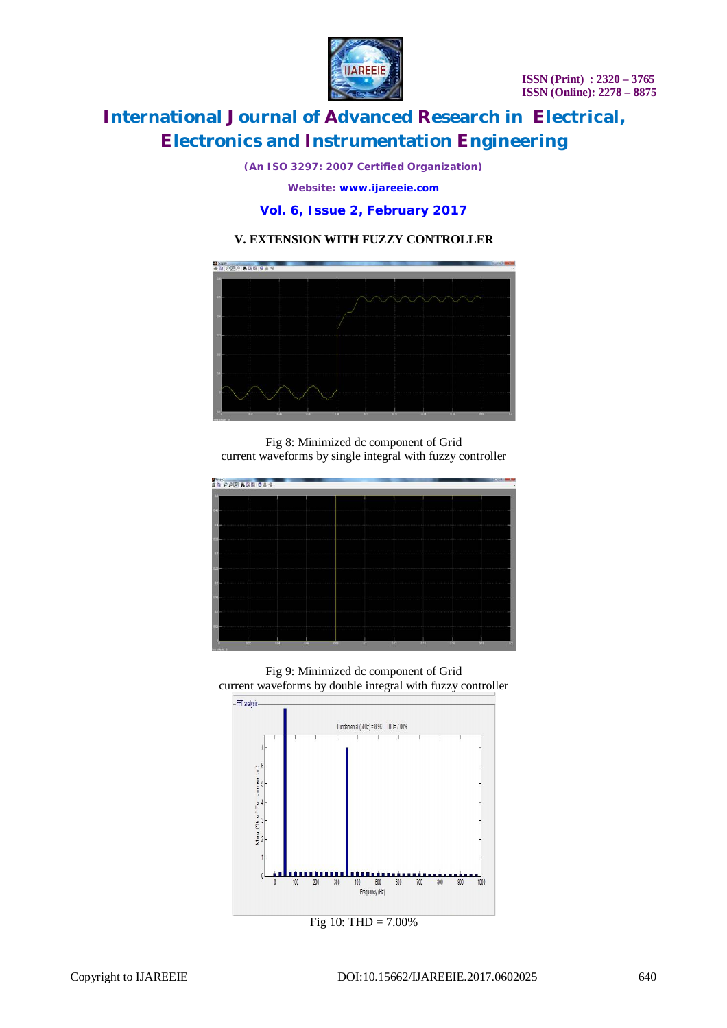**ISSN (Print) : 2320 – 3765 ISSN (Online): 2278 – 8875**



# **International Journal of Advanced Research in Electrical, Electronics and Instrumentation Engineering**

*(An ISO 3297: 2007 Certified Organization)*

*Website: [www.ijareeie.com](http://www.ijareeie.com)*

**Vol. 6, Issue 2, February 2017**

### **V. EXTENSION WITH FUZZY CONTROLLER**



Fig 8: Minimized dc component of Grid current waveforms by single integral with fuzzy controller

| De la partidista de la composición de la composición de la composición de la composición de la composición de<br>De la composición de la composición de la composición de la composición de la composición de la composición de |            |      |     |            |     |        |            |     |  |
|---------------------------------------------------------------------------------------------------------------------------------------------------------------------------------------------------------------------------------|------------|------|-----|------------|-----|--------|------------|-----|--|
|                                                                                                                                                                                                                                 |            |      |     |            |     |        |            |     |  |
|                                                                                                                                                                                                                                 |            |      |     |            |     |        |            |     |  |
|                                                                                                                                                                                                                                 |            |      |     |            |     |        |            |     |  |
|                                                                                                                                                                                                                                 |            |      |     |            |     |        |            |     |  |
|                                                                                                                                                                                                                                 |            |      |     |            |     |        |            |     |  |
|                                                                                                                                                                                                                                 |            |      |     |            |     |        |            |     |  |
|                                                                                                                                                                                                                                 |            |      |     |            |     |        |            |     |  |
|                                                                                                                                                                                                                                 |            |      |     |            |     |        |            |     |  |
|                                                                                                                                                                                                                                 |            |      |     |            |     |        |            |     |  |
|                                                                                                                                                                                                                                 |            |      |     |            |     |        |            |     |  |
|                                                                                                                                                                                                                                 |            |      |     |            |     |        |            |     |  |
|                                                                                                                                                                                                                                 |            |      |     |            |     |        |            |     |  |
|                                                                                                                                                                                                                                 |            |      |     |            |     |        |            |     |  |
| na -                                                                                                                                                                                                                            | <b>TOM</b> | TO . | 0.0 | <b>INT</b> | diz | $-450$ | <b>ISS</b> | 010 |  |

Fig 9: Minimized dc component of Grid current waveforms by double integral with fuzzy controller



Fig 10: THD = 7.00%